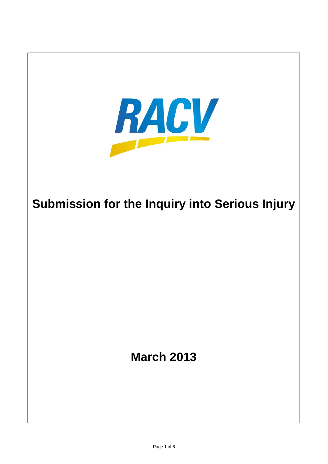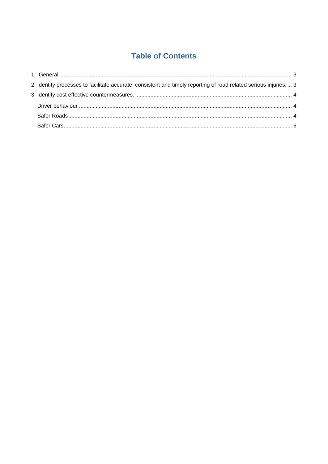# **Table of Contents**

| 2. Identify processes to facilitate accurate, consistent and timely reporting of road related serious injuries 3 |  |
|------------------------------------------------------------------------------------------------------------------|--|
|                                                                                                                  |  |
|                                                                                                                  |  |
|                                                                                                                  |  |
|                                                                                                                  |  |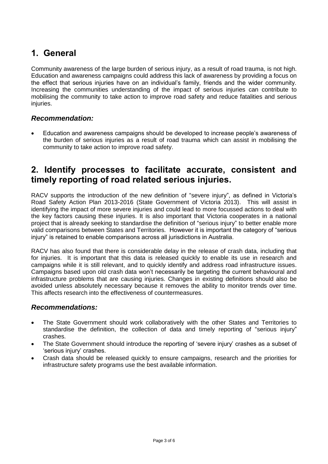# <span id="page-2-0"></span>**1. General**

Community awareness of the large burden of serious injury, as a result of road trauma, is not high. Education and awareness campaigns could address this lack of awareness by providing a focus on the effect that serious injuries have on an individual's family, friends and the wider community. Increasing the communities understanding of the impact of serious injuries can contribute to mobilising the community to take action to improve road safety and reduce fatalities and serious injuries.

### *Recommendation:*

 Education and awareness campaigns should be developed to increase people's awareness of the burden of serious injuries as a result of road trauma which can assist in mobilising the community to take action to improve road safety.

### <span id="page-2-1"></span>**2. Identify processes to facilitate accurate, consistent and timely reporting of road related serious injuries.**

RACV supports the introduction of the new definition of "severe injury", as defined in Victoria's Road Safety Action Plan 2013-2016 (State Government of Victoria 2013). This will assist in identifying the impact of more severe injuries and could lead to more focussed actions to deal with the key factors causing these injuries. It is also important that Victoria cooperates in a national project that is already seeking to standardise the definition of "serious injury" to better enable more valid comparisons between States and Territories. However it is important the category of "serious injury" is retained to enable comparisons across all jurisdictions in Australia.

RACV has also found that there is considerable delay in the release of crash data, including that for injuries. It is important that this data is released quickly to enable its use in research and campaigns while it is still relevant, and to quickly identify and address road infrastructure issues. Campaigns based upon old crash data won't necessarily be targeting the current behavioural and infrastructure problems that are causing injuries. Changes in existing definitions should also be avoided unless absolutely necessary because it removes the ability to monitor trends over time. This affects research into the effectiveness of countermeasures.

#### *Recommendations:*

- The State Government should work collaboratively with the other States and Territories to standardise the definition, the collection of data and timely reporting of "serious injury" crashes.
- The State Government should introduce the reporting of 'severe injury' crashes as a subset of 'serious injury' crashes.
- Crash data should be released quickly to ensure campaigns, research and the priorities for infrastructure safety programs use the best available information.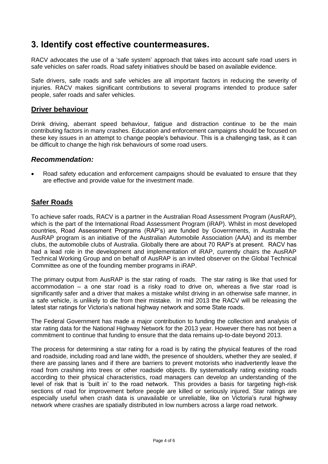## <span id="page-3-0"></span>**3. Identify cost effective countermeasures.**

RACV advocates the use of a 'safe system' approach that takes into account safe road users in safe vehicles on safer roads. Road safety initiatives should be based on available evidence.

Safe drivers, safe roads and safe vehicles are all important factors in reducing the severity of injuries. RACV makes significant contributions to several programs intended to produce safer people, safer roads and safer vehicles.

#### <span id="page-3-1"></span>**Driver behaviour**

Drink driving, aberrant speed behaviour, fatigue and distraction continue to be the main contributing factors in many crashes. Education and enforcement campaigns should be focused on these key issues in an attempt to change people's behaviour. This is a challenging task, as it can be difficult to change the high risk behaviours of some road users.

#### *Recommendation:*

 Road safety education and enforcement campaigns should be evaluated to ensure that they are effective and provide value for the investment made.

### <span id="page-3-2"></span>**Safer Roads**

To achieve safer roads, RACV is a partner in the Australian Road Assessment Program (AusRAP), which is the part of the International Road Assessment Program (iRAP). Whilst in most developed countries, Road Assessment Programs (RAP's) are funded by Governments, in Australia the AusRAP program is an initiative of the Australian Automobile Association (AAA) and its member clubs, the automobile clubs of Australia. Globally there are about 70 RAP's at present. RACV has had a lead role in the development and implementation of iRAP, currently chairs the AusRAP Technical Working Group and on behalf of AusRAP is an invited observer on the Global Technical Committee as one of the founding member programs in iRAP.

The primary output from AusRAP is the star rating of roads. The star rating is like that used for accommodation – a one star road is a risky road to drive on, whereas a five star road is significantly safer and a driver that makes a mistake whilst driving in an otherwise safe manner, in a safe vehicle, is unlikely to die from their mistake. In mid 2013 the RACV will be releasing the latest star ratings for Victoria's national highway network and some State roads.

The Federal Government has made a major contribution to funding the collection and analysis of star rating data for the National Highway Network for the 2013 year. However there has not been a commitment to continue that funding to ensure that the data remains up-to-date beyond 2013.

The process for determining a star rating for a road is by rating the physical features of the road and roadside, including road and lane width, the presence of shoulders, whether they are sealed, if there are passing lanes and if there are barriers to prevent motorists who inadvertently leave the road from crashing into trees or other roadside objects. By systematically rating existing roads according to their physical characteristics, road managers can develop an understanding of the level of risk that is 'built in' to the road network. This provides a basis for targeting high-risk sections of road for improvement before people are killed or seriously injured. Star ratings are especially useful when crash data is unavailable or unreliable, like on Victoria's rural highway network where crashes are spatially distributed in low numbers across a large road network.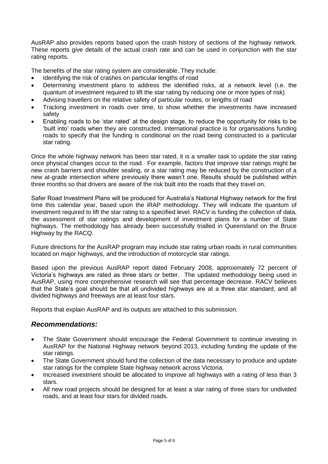AusRAP also provides reports based upon the crash history of sections of the highway network. These reports give details of the actual crash rate and can be used in conjunction with the star rating reports.

The benefits of the star rating system are considerable. They include:

- Identifying the risk of crashes on particular lengths of road
- Determining investment plans to address the identified risks, at a network level (i.e. the quantum of investment required to lift the star rating by reducing one or more types of risk)
- Advising travellers on the relative safety of particular routes, or lengths of road
- Tracking investment in roads over time, to show whether the investments have increased safety
- Enabling roads to be 'star rated' at the design stage, to reduce the opportunity for risks to be 'built into' roads when they are constructed. International practice is for organisations funding roads to specify that the funding is conditional on the road being constructed to a particular star rating.

Once the whole highway network has been star rated, it is a smaller task to update the star rating once physical changes occur to the road. For example, factors that improve star ratings might be new crash barriers and shoulder sealing, or a star rating may be reduced by the construction of a new at-grade intersection where previously there wasn't one. Results should be published within three months so that drivers are aware of the risk built into the roads that they travel on.

Safer Road Investment Plans will be produced for Australia's National Highway network for the first time this calendar year, based upon the iRAP methodology. They will indicate the quantum of investment required to lift the star rating to a specified level. RACV is funding the collection of data, the assessment of star ratings and development of investment plans for a number of State highways. The methodology has already been successfully trialled in Queensland on the Bruce Highway by the RACQ.

Future directions for the AusRAP program may include star rating urban roads in rural communities located on major highways, and the introduction of motorcycle star ratings.

Based upon the previous AusRAP report dated February 2008, approximately 72 percent of Victoria's highways are rated as three stars or better. The updated methodology being used in AusRAP, using more comprehensive research will see that percentage decrease. RACV believes that the State's goal should be that all undivided highways are at a three star standard, and all divided highways and freeways are at least four stars.

Reports that explain AusRAP and its outputs are attached to this submission.

#### *Recommendations:*

- The State Government should encourage the Federal Government to continue investing in AusRAP for the National Highway network beyond 2013, including funding the update of the star ratings.
- The State Government should fund the collection of the data necessary to produce and update star ratings for the complete State highway network across Victoria.
- Increased investment should be allocated to improve all highways with a rating of less than 3 stars.
- All new road projects should be designed for at least a star rating of three stars for undivided roads, and at least four stars for divided roads.